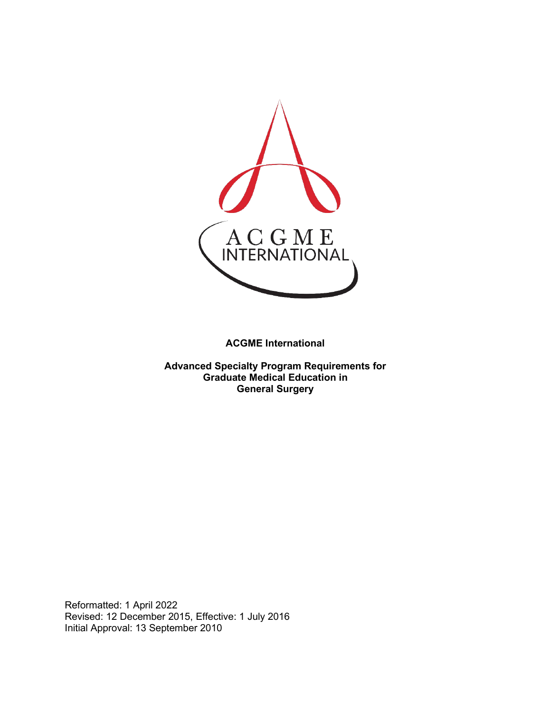

**ACGME International** 

**Advanced Specialty Program Requirements for Graduate Medical Education in General Surgery**

Reformatted: 1 April 2022 Revised: 12 December 2015, Effective: 1 July 2016 Initial Approval: 13 September 2010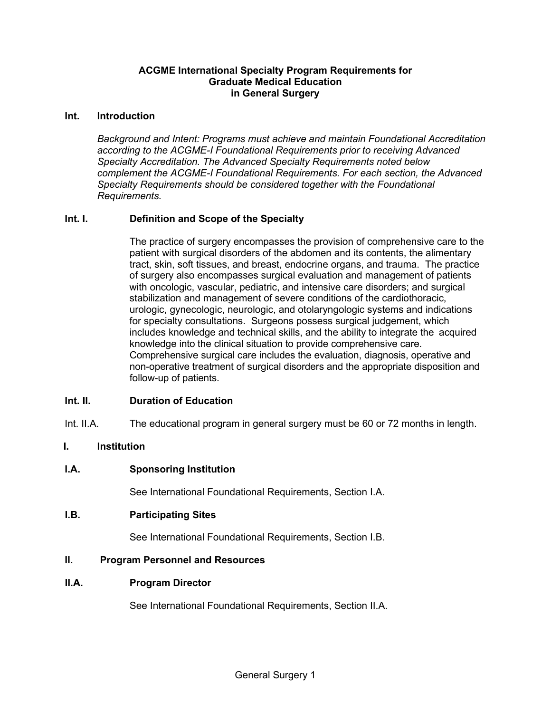### **ACGME International Specialty Program Requirements for Graduate Medical Education in General Surgery**

#### **Int. Introduction**

*Background and Intent: Programs must achieve and maintain Foundational Accreditation according to the ACGME-I Foundational Requirements prior to receiving Advanced Specialty Accreditation. The Advanced Specialty Requirements noted below complement the ACGME-I Foundational Requirements. For each section, the Advanced Specialty Requirements should be considered together with the Foundational Requirements.*

### **Int. I. Definition and Scope of the Specialty**

The practice of surgery encompasses the provision of comprehensive care to the patient with surgical disorders of the abdomen and its contents, the alimentary tract, skin, soft tissues, and breast, endocrine organs, and trauma. The practice of surgery also encompasses surgical evaluation and management of patients with oncologic, vascular, pediatric, and intensive care disorders; and surgical stabilization and management of severe conditions of the cardiothoracic, urologic, gynecologic, neurologic, and otolaryngologic systems and indications for specialty consultations. Surgeons possess surgical judgement, which includes knowledge and technical skills, and the ability to integrate the acquired knowledge into the clinical situation to provide comprehensive care. Comprehensive surgical care includes the evaluation, diagnosis, operative and non-operative treatment of surgical disorders and the appropriate disposition and follow-up of patients.

#### **Int. II. Duration of Education**

Int. II.A. The educational program in general surgery must be 60 or 72 months in length.

### **I. Institution**

### **I.A. Sponsoring Institution**

See International Foundational Requirements, Section I.A.

**I.B. Participating Sites**

See International Foundational Requirements, Section I.B.

### **II. Program Personnel and Resources**

#### **II.A. Program Director**

See International Foundational Requirements, Section II.A.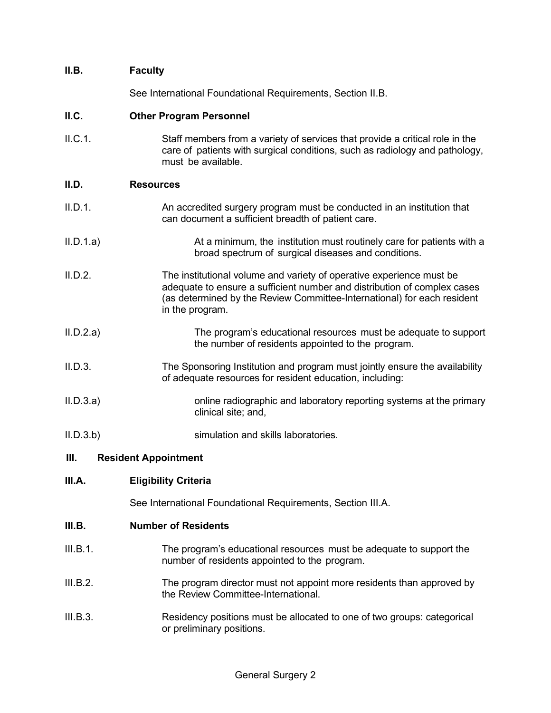| II.B.                               | <b>Faculty</b>                                                                                                                                                                                                                                 |  |
|-------------------------------------|------------------------------------------------------------------------------------------------------------------------------------------------------------------------------------------------------------------------------------------------|--|
|                                     | See International Foundational Requirements, Section II.B.                                                                                                                                                                                     |  |
| II.C.                               | <b>Other Program Personnel</b>                                                                                                                                                                                                                 |  |
| II.C.1.                             | Staff members from a variety of services that provide a critical role in the<br>care of patients with surgical conditions, such as radiology and pathology,<br>must be available.                                                              |  |
| II.D.                               | <b>Resources</b>                                                                                                                                                                                                                               |  |
| II.D.1.                             | An accredited surgery program must be conducted in an institution that<br>can document a sufficient breadth of patient care.                                                                                                                   |  |
| II.D.1.a)                           | At a minimum, the institution must routinely care for patients with a<br>broad spectrum of surgical diseases and conditions.                                                                                                                   |  |
| II.D.2.                             | The institutional volume and variety of operative experience must be<br>adequate to ensure a sufficient number and distribution of complex cases<br>(as determined by the Review Committee-International) for each resident<br>in the program. |  |
| II.D.2.a)                           | The program's educational resources must be adequate to support<br>the number of residents appointed to the program.                                                                                                                           |  |
| II.D.3.                             | The Sponsoring Institution and program must jointly ensure the availability<br>of adequate resources for resident education, including:                                                                                                        |  |
| II.D.3.a)                           | online radiographic and laboratory reporting systems at the primary<br>clinical site; and,                                                                                                                                                     |  |
| II.D.3.b                            | simulation and skills laboratories.                                                                                                                                                                                                            |  |
| III.<br><b>Resident Appointment</b> |                                                                                                                                                                                                                                                |  |

## **III.A. Eligibility Criteria**

See International Foundational Requirements, Section III.A.

### **III.B. Number of Residents**

- III.B.1. The program's educational resources must be adequate to support the number of residents appointed to the program.
- III.B.2. The program director must not appoint more residents than approved by the Review Committee-International.
- III.B.3. Residency positions must be allocated to one of two groups: categorical or preliminary positions.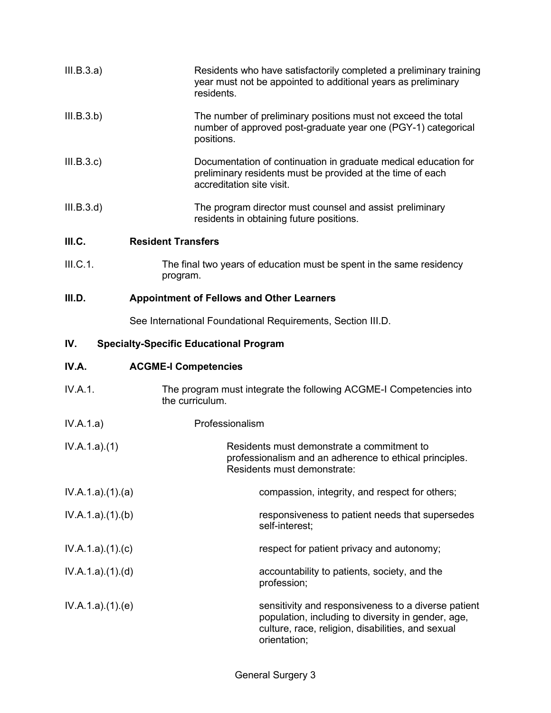| III.B.3.a) | Residents who have satisfactorily completed a preliminary training<br>year must not be appointed to additional years as preliminary<br>residents.          |
|------------|------------------------------------------------------------------------------------------------------------------------------------------------------------|
| III.B.3.b) | The number of preliminary positions must not exceed the total<br>number of approved post-graduate year one (PGY-1) categorical<br>positions.               |
| III.B.3.c) | Documentation of continuation in graduate medical education for<br>preliminary residents must be provided at the time of each<br>accreditation site visit. |
| III.B.3.d) | The program director must counsel and assist preliminary<br>residents in obtaining future positions.                                                       |
| III.C.     | <b>Resident Transfers</b>                                                                                                                                  |
| III.C.1.   | The final two years of education must be spent in the same residency                                                                                       |

program.

# **III.D. Appointment of Fellows and Other Learners**

See International Foundational Requirements, Section III.D.

# **IV. Specialty-Specific Educational Program**

| IV.A. | <b>ACGME-I Competencies</b> |
|-------|-----------------------------|
|-------|-----------------------------|

| IV.A.1.         | The program must integrate the following ACGME-I Competencies into<br>the curriculum.                                                                                          |  |
|-----------------|--------------------------------------------------------------------------------------------------------------------------------------------------------------------------------|--|
| IV.A.1.a)       | Professionalism                                                                                                                                                                |  |
| IV.A.1.a)(1)    | Residents must demonstrate a commitment to<br>professionalism and an adherence to ethical principles.<br>Residents must demonstrate:                                           |  |
| IV.A.1.a)(1)(a) | compassion, integrity, and respect for others;                                                                                                                                 |  |
| IV.A.1.a)(1)(b) | responsiveness to patient needs that supersedes<br>self-interest;                                                                                                              |  |
| IV.A.1.a)(1)(c) | respect for patient privacy and autonomy;                                                                                                                                      |  |
| IV.A.1.a)(1)(d) | accountability to patients, society, and the<br>profession;                                                                                                                    |  |
| IV.A.1.a)(1)(e) | sensitivity and responsiveness to a diverse patient<br>population, including to diversity in gender, age,<br>culture, race, religion, disabilities, and sexual<br>orientation; |  |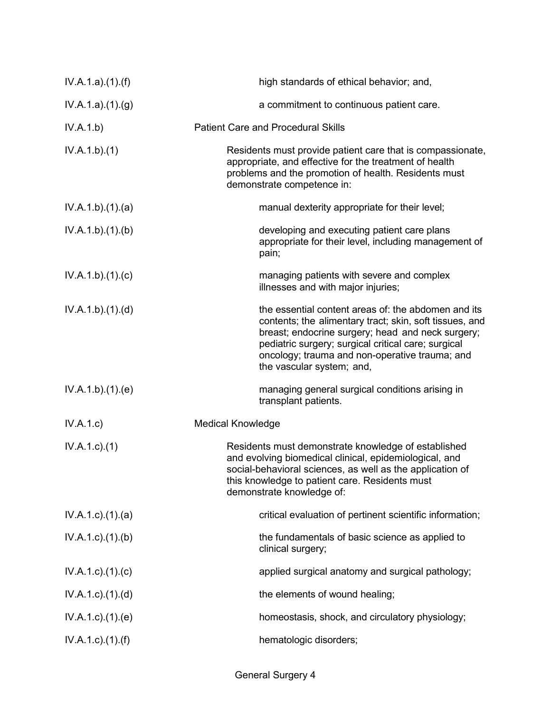| IV.A.1.a)(1)(f)           | high standards of ethical behavior; and,                                                                                                                                                                                                                                                                  |
|---------------------------|-----------------------------------------------------------------------------------------------------------------------------------------------------------------------------------------------------------------------------------------------------------------------------------------------------------|
| IV.A.1.a)(1)(g)           | a commitment to continuous patient care.                                                                                                                                                                                                                                                                  |
| IV.A.1.b)                 | <b>Patient Care and Procedural Skills</b>                                                                                                                                                                                                                                                                 |
| IV.A.1.b)(1)              | Residents must provide patient care that is compassionate,<br>appropriate, and effective for the treatment of health<br>problems and the promotion of health. Residents must<br>demonstrate competence in:                                                                                                |
| IV.A.1.b)(1)(a)           | manual dexterity appropriate for their level;                                                                                                                                                                                                                                                             |
| IV.A.1.b)(1)(b)           | developing and executing patient care plans<br>appropriate for their level, including management of<br>pain;                                                                                                                                                                                              |
| IV.A.1.b)(1)(c)           | managing patients with severe and complex<br>illnesses and with major injuries;                                                                                                                                                                                                                           |
| IV.A.1.b)(1)(d)           | the essential content areas of: the abdomen and its<br>contents; the alimentary tract; skin, soft tissues, and<br>breast; endocrine surgery; head and neck surgery;<br>pediatric surgery; surgical critical care; surgical<br>oncology; trauma and non-operative trauma; and<br>the vascular system; and, |
| IV.A.1.b)(1)(e)           | managing general surgical conditions arising in<br>transplant patients.                                                                                                                                                                                                                                   |
| IV.A.1.c)                 | <b>Medical Knowledge</b>                                                                                                                                                                                                                                                                                  |
| $IV.A.1.c.$ (1)           | Residents must demonstrate knowledge of established<br>and evolving biomedical clinical, epidemiological, and<br>social-behavioral sciences, as well as the application of<br>this knowledge to patient care. Residents must<br>demonstrate knowledge of:                                                 |
| $IV.A.1.c$ . $(1).$ $(a)$ | critical evaluation of pertinent scientific information;                                                                                                                                                                                                                                                  |
| $IV.A.1.c$ . $(1).$ (b)   | the fundamentals of basic science as applied to<br>clinical surgery;                                                                                                                                                                                                                                      |
| $IV.A.1.c$ . $(1).$ $(c)$ | applied surgical anatomy and surgical pathology;                                                                                                                                                                                                                                                          |
| $IV.A.1.c$ . $(1).$ $(d)$ | the elements of wound healing;                                                                                                                                                                                                                                                                            |
| $IV.A.1.c$ . $(1).$ (e)   | homeostasis, shock, and circulatory physiology;                                                                                                                                                                                                                                                           |
| $IV.A.1.c$ ). $(1).(f)$   | hematologic disorders;                                                                                                                                                                                                                                                                                    |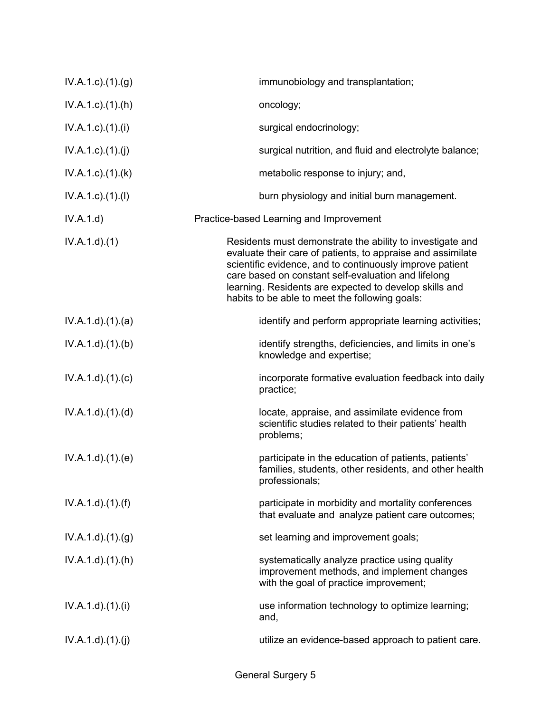| IV.A.1.c)(1)(g)           | immunobiology and transplantation;                                                                                                                                                                                                                                                                                                                      |
|---------------------------|---------------------------------------------------------------------------------------------------------------------------------------------------------------------------------------------------------------------------------------------------------------------------------------------------------------------------------------------------------|
| $IV.A.1.c$ . $(1).(h)$    | oncology;                                                                                                                                                                                                                                                                                                                                               |
| $IV.A.1.c$ ). $(1).$      | surgical endocrinology;                                                                                                                                                                                                                                                                                                                                 |
| IV.A.1.c)(1)(j)           | surgical nutrition, and fluid and electrolyte balance;                                                                                                                                                                                                                                                                                                  |
| $IV.A.1.c$ . $(1).$ $(k)$ | metabolic response to injury; and,                                                                                                                                                                                                                                                                                                                      |
| IV.A.1.c)(1)(I)           | burn physiology and initial burn management.                                                                                                                                                                                                                                                                                                            |
| IV.A.1.d)                 | Practice-based Learning and Improvement                                                                                                                                                                                                                                                                                                                 |
| IV.A.1.d)(1)              | Residents must demonstrate the ability to investigate and<br>evaluate their care of patients, to appraise and assimilate<br>scientific evidence, and to continuously improve patient<br>care based on constant self-evaluation and lifelong<br>learning. Residents are expected to develop skills and<br>habits to be able to meet the following goals: |
| IV.A.1.d.(1).(a)          | identify and perform appropriate learning activities;                                                                                                                                                                                                                                                                                                   |
| IV.A.1.d).(1).(b)         | identify strengths, deficiencies, and limits in one's<br>knowledge and expertise;                                                                                                                                                                                                                                                                       |
| IV.A.1.d)(1)(c)           | incorporate formative evaluation feedback into daily<br>practice;                                                                                                                                                                                                                                                                                       |
| IV.A.1.d)(1)(d)           | locate, appraise, and assimilate evidence from<br>scientific studies related to their patients' health<br>problems;                                                                                                                                                                                                                                     |
| IV.A.1.d.(1)(e)           | participate in the education of patients, patients'<br>families, students, other residents, and other health<br>professionals;                                                                                                                                                                                                                          |
| $IV.A.1.d$ . $(1).(f)$    | participate in morbidity and mortality conferences<br>that evaluate and analyze patient care outcomes;                                                                                                                                                                                                                                                  |
| IV.A.1.d)(1)(g)           | set learning and improvement goals;                                                                                                                                                                                                                                                                                                                     |
| $IV.A.1.d$ . $(1).(h)$    | systematically analyze practice using quality<br>improvement methods, and implement changes<br>with the goal of practice improvement;                                                                                                                                                                                                                   |
| $IV.A.1.d$ . $(1).$       | use information technology to optimize learning;<br>and,                                                                                                                                                                                                                                                                                                |
| IV.A.1.d)(1)(j)           | utilize an evidence-based approach to patient care.                                                                                                                                                                                                                                                                                                     |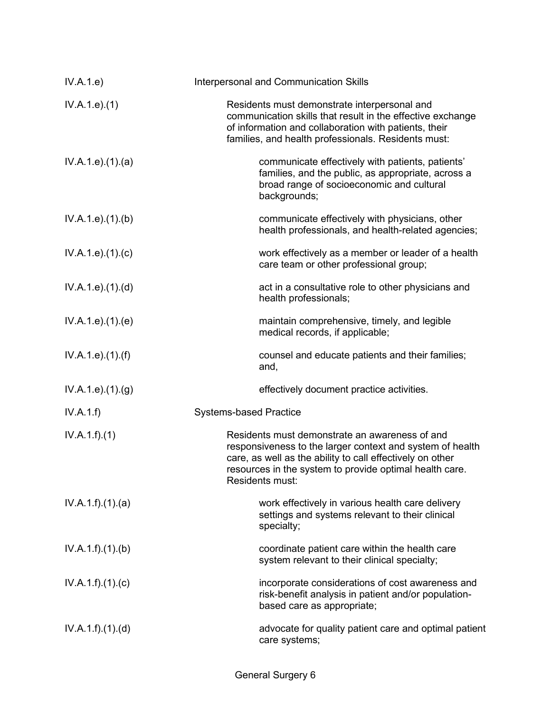| IV.A.1.e)                     | Interpersonal and Communication Skills                                                                                                                                                                                                                 |
|-------------------------------|--------------------------------------------------------------------------------------------------------------------------------------------------------------------------------------------------------------------------------------------------------|
| IV.A.1.e. (1)                 | Residents must demonstrate interpersonal and<br>communication skills that result in the effective exchange<br>of information and collaboration with patients, their<br>families, and health professionals. Residents must:                             |
| IV.A.1.e. (1). (a)            | communicate effectively with patients, patients'<br>families, and the public, as appropriate, across a<br>broad range of socioeconomic and cultural<br>backgrounds;                                                                                    |
| IV.A.1.e. (1)(b)              | communicate effectively with physicians, other<br>health professionals, and health-related agencies;                                                                                                                                                   |
| IV.A.1.e. (1). (c)            | work effectively as a member or leader of a health<br>care team or other professional group;                                                                                                                                                           |
| IV.A.1.e. (1). (d)            | act in a consultative role to other physicians and<br>health professionals;                                                                                                                                                                            |
| IV.A.1.e. (1). (e)            | maintain comprehensive, timely, and legible<br>medical records, if applicable;                                                                                                                                                                         |
| IV.A.1.e. (1). (f)            | counsel and educate patients and their families;<br>and,                                                                                                                                                                                               |
| IV.A.1.e. (1). <sub>(g)</sub> | effectively document practice activities.                                                                                                                                                                                                              |
| IV.A.1.f)                     | <b>Systems-based Practice</b>                                                                                                                                                                                                                          |
| IV.A.1.f)(1)                  | Residents must demonstrate an awareness of and<br>responsiveness to the larger context and system of health<br>care, as well as the ability to call effectively on other<br>resources in the system to provide optimal health care.<br>Residents must: |
| IV.A.1.f)(1)(a)               | work effectively in various health care delivery<br>settings and systems relevant to their clinical<br>specialty;                                                                                                                                      |
| IV.A.1.f)(1)(b)               | coordinate patient care within the health care<br>system relevant to their clinical specialty;                                                                                                                                                         |
| IV.A.1.f)(1)(c)               | incorporate considerations of cost awareness and<br>risk-benefit analysis in patient and/or population-<br>based care as appropriate;                                                                                                                  |
| IV.A.1.f)(1)(d)               | advocate for quality patient care and optimal patient<br>care systems;                                                                                                                                                                                 |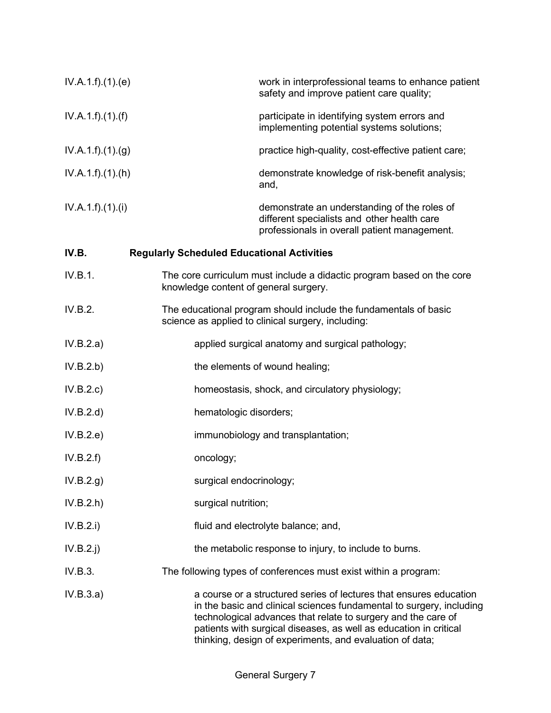| IV.A.1.f)(1)(e) | work in interprofessional teams to enhance patient<br>safety and improve patient care quality;                                                                                                                                                                                                                                               |
|-----------------|----------------------------------------------------------------------------------------------------------------------------------------------------------------------------------------------------------------------------------------------------------------------------------------------------------------------------------------------|
| IV.A.1.f)(1)(f) | participate in identifying system errors and<br>implementing potential systems solutions;                                                                                                                                                                                                                                                    |
| IV.A.1.f)(1)(g) | practice high-quality, cost-effective patient care;                                                                                                                                                                                                                                                                                          |
| IV.A.1.f)(1)(h) | demonstrate knowledge of risk-benefit analysis;<br>and,                                                                                                                                                                                                                                                                                      |
| IV.A.1.f)(1)(i) | demonstrate an understanding of the roles of<br>different specialists and other health care<br>professionals in overall patient management.                                                                                                                                                                                                  |
| IV.B.           | <b>Regularly Scheduled Educational Activities</b>                                                                                                                                                                                                                                                                                            |
| IV.B.1.         | The core curriculum must include a didactic program based on the core<br>knowledge content of general surgery.                                                                                                                                                                                                                               |
| IV.B.2.         | The educational program should include the fundamentals of basic<br>science as applied to clinical surgery, including:                                                                                                                                                                                                                       |
| IV.B.2.a)       | applied surgical anatomy and surgical pathology;                                                                                                                                                                                                                                                                                             |
| IV.B.2.b)       | the elements of wound healing;                                                                                                                                                                                                                                                                                                               |
| IV.B.2.c)       | homeostasis, shock, and circulatory physiology;                                                                                                                                                                                                                                                                                              |
| IV.B.2.d)       | hematologic disorders;                                                                                                                                                                                                                                                                                                                       |
| IV.B.2.e)       | immunobiology and transplantation;                                                                                                                                                                                                                                                                                                           |
| IV.B.2.f)       | oncology;                                                                                                                                                                                                                                                                                                                                    |
| IV.B.2.g)       | surgical endocrinology;                                                                                                                                                                                                                                                                                                                      |
| IV.B.2.h)       | surgical nutrition;                                                                                                                                                                                                                                                                                                                          |
| IV.B.2.i)       | fluid and electrolyte balance; and,                                                                                                                                                                                                                                                                                                          |
| $IV.B.2.$ j     | the metabolic response to injury, to include to burns.                                                                                                                                                                                                                                                                                       |
| IV.B.3.         | The following types of conferences must exist within a program:                                                                                                                                                                                                                                                                              |
| IV.B.3.a)       | a course or a structured series of lectures that ensures education<br>in the basic and clinical sciences fundamental to surgery, including<br>technological advances that relate to surgery and the care of<br>patients with surgical diseases, as well as education in critical<br>thinking, design of experiments, and evaluation of data; |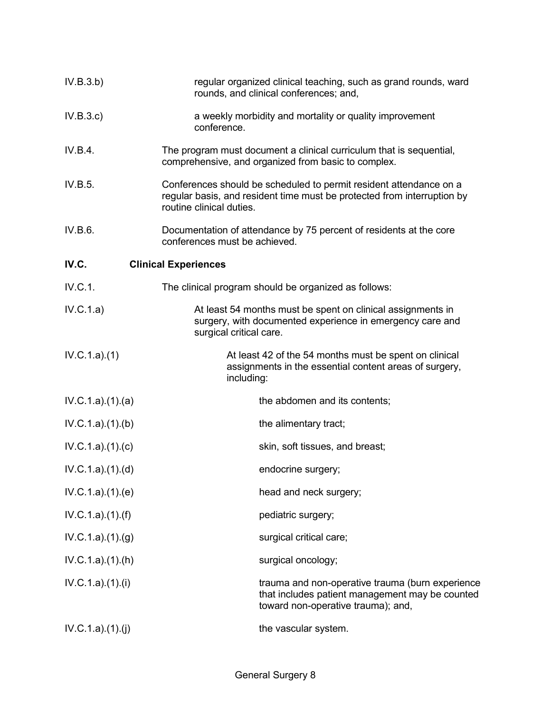| IV.B.3.b)        | regular organized clinical teaching, such as grand rounds, ward<br>rounds, and clinical conferences; and,                                                                 |
|------------------|---------------------------------------------------------------------------------------------------------------------------------------------------------------------------|
| IV.B.3.c)        | a weekly morbidity and mortality or quality improvement<br>conference.                                                                                                    |
| IV.B.4.          | The program must document a clinical curriculum that is sequential,<br>comprehensive, and organized from basic to complex.                                                |
| IV.B.5.          | Conferences should be scheduled to permit resident attendance on a<br>regular basis, and resident time must be protected from interruption by<br>routine clinical duties. |
| IV.B.6.          | Documentation of attendance by 75 percent of residents at the core<br>conferences must be achieved.                                                                       |
| IV.C.            | <b>Clinical Experiences</b>                                                                                                                                               |
| IV.C.1.          | The clinical program should be organized as follows:                                                                                                                      |
| IV.C.1.a)        | At least 54 months must be spent on clinical assignments in<br>surgery, with documented experience in emergency care and<br>surgical critical care.                       |
| IV.C.1.a)(1)     | At least 42 of the 54 months must be spent on clinical<br>assignments in the essential content areas of surgery,<br>including:                                            |
| IV.C.1.a)(1)(a)  | the abdomen and its contents;                                                                                                                                             |
| IV.C.1.a)(1)(b)  | the alimentary tract;                                                                                                                                                     |
| IV.C.1.a)(1)(c)  | skin, soft tissues, and breast;                                                                                                                                           |
| IV.C.1.a)(1)(d)  | endocrine surgery;                                                                                                                                                        |
| IV.C.1.a)(1)(e)  | head and neck surgery;                                                                                                                                                    |
| IV.C.1.a)(1)(f)  | pediatric surgery;                                                                                                                                                        |
| IV.C.1.a)(1)(g)  | surgical critical care;                                                                                                                                                   |
| IV.C.1.a)(1)(h)  | surgical oncology;                                                                                                                                                        |
| IV.C.1.a)(1).(i) | trauma and non-operative trauma (burn experience<br>that includes patient management may be counted<br>toward non-operative trauma); and,                                 |
| IV.C.1.a)(1)(j)  | the vascular system.                                                                                                                                                      |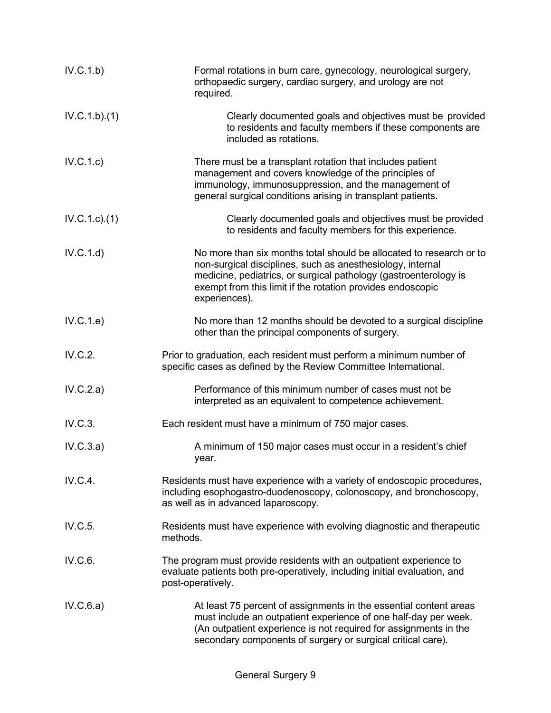| IV.C.1.b)    | Formal rotations in burn care, gynecology, neurological surgery,<br>orthopaedic surgery, cardiac surgery, and urology are not<br>required.                                                                                                                                           |  |
|--------------|--------------------------------------------------------------------------------------------------------------------------------------------------------------------------------------------------------------------------------------------------------------------------------------|--|
| IV.C.1.b)(1) | Clearly documented goals and objectives must be provided<br>to residents and faculty members if these components are<br>included as rotations.                                                                                                                                       |  |
| IV.C.1.c)    | There must be a transplant rotation that includes patient<br>management and covers knowledge of the principles of<br>immunology, immunosuppression, and the management of<br>general surgical conditions arising in transplant patients.                                             |  |
| IV.C.1.c.1() | Clearly documented goals and objectives must be provided<br>to residents and faculty members for this experience.                                                                                                                                                                    |  |
| IV.C.1.d)    | No more than six months total should be allocated to research or to<br>non-surgical disciplines, such as anesthesiology, internal<br>medicine, pediatrics, or surgical pathology (gastroenterology is<br>exempt from this limit if the rotation provides endoscopic<br>experiences). |  |
| IV.C.1.e)    | No more than 12 months should be devoted to a surgical discipline<br>other than the principal components of surgery.                                                                                                                                                                 |  |
| IV.C.2.      | Prior to graduation, each resident must perform a minimum number of<br>specific cases as defined by the Review Committee International.                                                                                                                                              |  |
| IV.C.2.a)    | Performance of this minimum number of cases must not be<br>interpreted as an equivalent to competence achievement.                                                                                                                                                                   |  |
| IV.C.3.      | Each resident must have a minimum of 750 major cases.                                                                                                                                                                                                                                |  |
| IV.C.3.a)    | A minimum of 150 major cases must occur in a resident's chief<br>year.                                                                                                                                                                                                               |  |
| IV.C.4.      | Residents must have experience with a variety of endoscopic procedures,<br>including esophogastro-duodenoscopy, colonoscopy, and bronchoscopy,<br>as well as in advanced laparoscopy.                                                                                                |  |
| IV.C.5.      | Residents must have experience with evolving diagnostic and therapeutic<br>methods.                                                                                                                                                                                                  |  |
| IV.C.6.      | The program must provide residents with an outpatient experience to<br>evaluate patients both pre-operatively, including initial evaluation, and<br>post-operatively.                                                                                                                |  |
| IV.C.6.a)    | At least 75 percent of assignments in the essential content areas<br>must include an outpatient experience of one half-day per week.<br>(An outpatient experience is not required for assignments in the<br>secondary components of surgery or surgical critical care).              |  |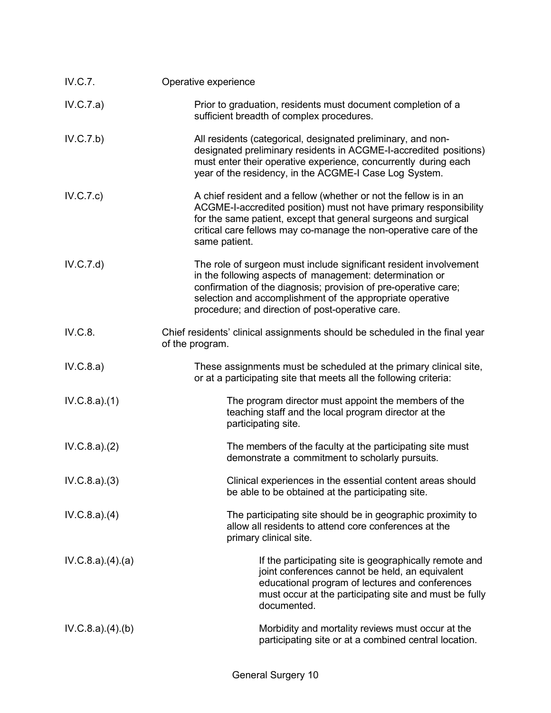| IV.C.7.         | Operative experience                                                                                                                                                                                                                                                                                              |  |
|-----------------|-------------------------------------------------------------------------------------------------------------------------------------------------------------------------------------------------------------------------------------------------------------------------------------------------------------------|--|
| IV.C.7.a)       | Prior to graduation, residents must document completion of a<br>sufficient breadth of complex procedures.                                                                                                                                                                                                         |  |
| IV.C.7.b)       | All residents (categorical, designated preliminary, and non-<br>designated preliminary residents in ACGME-I-accredited positions)<br>must enter their operative experience, concurrently during each<br>year of the residency, in the ACGME-I Case Log System.                                                    |  |
| IV.C.7.c)       | A chief resident and a fellow (whether or not the fellow is in an<br>ACGME-I-accredited position) must not have primary responsibility<br>for the same patient, except that general surgeons and surgical<br>critical care fellows may co-manage the non-operative care of the<br>same patient.                   |  |
| IV.C.7.d)       | The role of surgeon must include significant resident involvement<br>in the following aspects of management: determination or<br>confirmation of the diagnosis; provision of pre-operative care;<br>selection and accomplishment of the appropriate operative<br>procedure; and direction of post-operative care. |  |
| IV.C.8.         | Chief residents' clinical assignments should be scheduled in the final year<br>of the program.                                                                                                                                                                                                                    |  |
| IV.C.8.a)       | These assignments must be scheduled at the primary clinical site,<br>or at a participating site that meets all the following criteria:                                                                                                                                                                            |  |
| IV.C.8.a)(1)    | The program director must appoint the members of the<br>teaching staff and the local program director at the<br>participating site.                                                                                                                                                                               |  |
| IV.C.8.a)(2)    | The members of the faculty at the participating site must<br>demonstrate a commitment to scholarly pursuits.                                                                                                                                                                                                      |  |
| IV.C.8.a)(3)    | Clinical experiences in the essential content areas should<br>be able to be obtained at the participating site.                                                                                                                                                                                                   |  |
| IV.C.8.a)(4)    | The participating site should be in geographic proximity to<br>allow all residents to attend core conferences at the<br>primary clinical site.                                                                                                                                                                    |  |
| IV.C.8.a)(4)(a) | If the participating site is geographically remote and<br>joint conferences cannot be held, an equivalent<br>educational program of lectures and conferences<br>must occur at the participating site and must be fully<br>documented.                                                                             |  |
| IV.C.8.a)(4)(b) | Morbidity and mortality reviews must occur at the<br>participating site or at a combined central location.                                                                                                                                                                                                        |  |